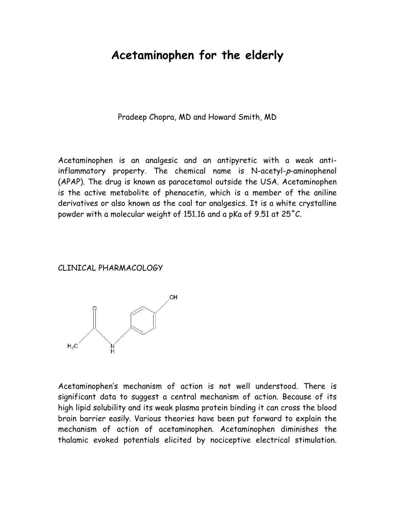# **Acetaminophen for the elderly**

Pradeep Chopra, MD and Howard Smith, MD

Acetaminophen is an analgesic and an antipyretic with a weak antiinflammatory property. The chemical name is N-acetyl-p-aminophenol (APAP). The drug is known as paracetamol outside the USA. Acetaminophen is the active metabolite of phenacetin, which is a member of the aniline derivatives or also known as the coal tar analgesics. It is a white crystalline powder with a molecular weight of 151.16 and a pKa of 9.51 at 25˚C.

#### CLINICAL PHARMACOLOGY



Acetaminophen's mechanism of action is not well understood. There is significant data to suggest a central mechanism of action. Because of its high lipid solubility and its weak plasma protein binding it can cross the blood brain barrier easily. Various theories have been put forward to explain the mechanism of action of acetaminophen. Acetaminophen diminishes the thalamic evoked potentials elicited by nociceptive electrical stimulation.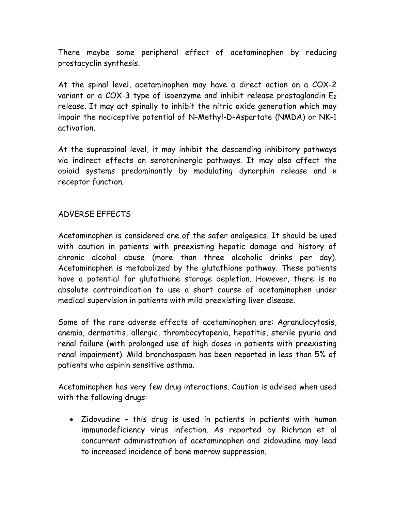There maybe some peripheral effect of acetaminophen by reducing prostacyclin synthesis.

At the spinal level, acetaminophen may have a direct action on a COX-2 variant or a COX-3 type of isoenzyme and inhibit release prostaglandin  $E_2$ release. It may act spinally to inhibit the nitric oxide generation which may impair the nociceptive potential of N-Methyl-D-Aspartate (NMDA) or NK-1 activation.

At the supraspinal level, it may inhibit the descending inhibitory pathways via indirect effects on serotoninergic pathways. It may also affect the opioid systems predominantly by modulating dynorphin release and к receptor function.

## ADVERSE EFFECTS

Acetaminophen is considered one of the safer analgesics. It should be used with caution in patients with preexisting hepatic damage and history of chronic alcohol abuse (more than three alcoholic drinks per day). Acetaminophen is metabolized by the glutathione pathway. These patients have a potential for glutathione storage depletion. However, there is no absolute contraindication to use a short course of acetaminophen under medical supervision in patients with mild preexisting liver disease.

Some of the rare adverse effects of acetaminophen are: Agranulocytosis, anemia, dermatitis, allergic, thrombocytopenia, hepatitis, sterile pyuria and renal failure (with prolonged use of high doses in patients with preexisting renal impairment). Mild bronchospasm has been reported in less than 5% of patients who aspirin sensitive asthma.

Acetaminophen has very few drug interactions. Caution is advised when used with the following drugs:

• Zidovudine – this drug is used in patients in patients with human immunodeficiency virus infection. As reported by Richman et al concurrent administration of acetaminophen and zidovudine may lead to increased incidence of bone marrow suppression.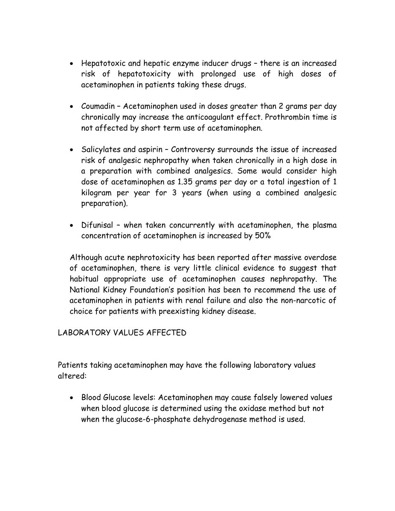- Hepatotoxic and hepatic enzyme inducer drugs there is an increased risk of hepatotoxicity with prolonged use of high doses of acetaminophen in patients taking these drugs.
- Coumadin Acetaminophen used in doses greater than 2 grams per day chronically may increase the anticoagulant effect. Prothrombin time is not affected by short term use of acetaminophen.
- Salicylates and aspirin Controversy surrounds the issue of increased risk of analgesic nephropathy when taken chronically in a high dose in a preparation with combined analgesics. Some would consider high dose of acetaminophen as 1.35 grams per day or a total ingestion of 1 kilogram per year for 3 years (when using a combined analgesic preparation).
- Difunisal when taken concurrently with acetaminophen, the plasma concentration of acetaminophen is increased by 50%

Although acute nephrotoxicity has been reported after massive overdose of acetaminophen, there is very little clinical evidence to suggest that habitual appropriate use of acetaminophen causes nephropathy. The National Kidney Foundation's position has been to recommend the use of acetaminophen in patients with renal failure and also the non-narcotic of choice for patients with preexisting kidney disease.

#### LABORATORY VALUES AFFECTED

Patients taking acetaminophen may have the following laboratory values altered:

• Blood Glucose levels: Acetaminophen may cause falsely lowered values when blood glucose is determined using the oxidase method but not when the glucose-6-phosphate dehydrogenase method is used.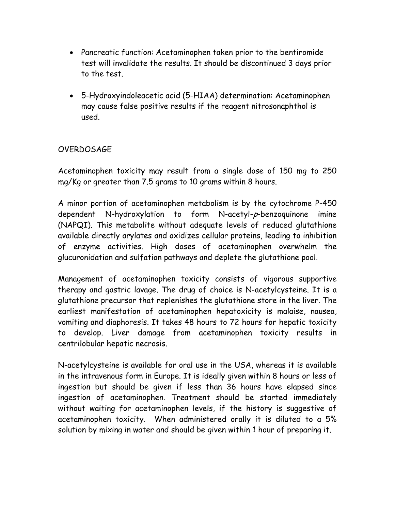- Pancreatic function: Acetaminophen taken prior to the bentiromide test will invalidate the results. It should be discontinued 3 days prior to the test.
- 5-Hydroxyindoleacetic acid (5-HIAA) determination: Acetaminophen may cause false positive results if the reagent nitrosonaphthol is used.

## OVERDOSAGE

Acetaminophen toxicity may result from a single dose of 150 mg to 250 mg/Kg or greater than 7.5 grams to 10 grams within 8 hours.

A minor portion of acetaminophen metabolism is by the cytochrome P-450 dependent N-hydroxylation to form N-acetyl-p-benzoquinone imine (NAPQI). This metabolite without adequate levels of reduced glutathione available directly arylates and oxidizes cellular proteins, leading to inhibition of enzyme activities. High doses of acetaminophen overwhelm the glucuronidation and sulfation pathways and deplete the glutathione pool.

Management of acetaminophen toxicity consists of vigorous supportive therapy and gastric lavage. The drug of choice is N-acetylcysteine. It is a glutathione precursor that replenishes the glutathione store in the liver. The earliest manifestation of acetaminophen hepatoxicity is malaise, nausea, vomiting and diaphoresis. It takes 48 hours to 72 hours for hepatic toxicity to develop. Liver damage from acetaminophen toxicity results in centrilobular hepatic necrosis.

N-acetylcysteine is available for oral use in the USA, whereas it is available in the intravenous form in Europe. It is ideally given within 8 hours or less of ingestion but should be given if less than 36 hours have elapsed since ingestion of acetaminophen. Treatment should be started immediately without waiting for acetaminophen levels, if the history is suggestive of acetaminophen toxicity. When administered orally it is diluted to a 5% solution by mixing in water and should be given within 1 hour of preparing it.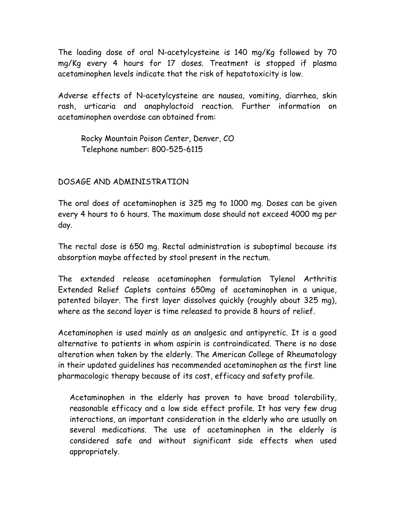The loading dose of oral N-acetylcysteine is 140 mg/Kg followed by 70 mg/Kg every 4 hours for 17 doses. Treatment is stopped if plasma acetaminophen levels indicate that the risk of hepatotoxicity is low.

Adverse effects of N-acetylcysteine are nausea, vomiting, diarrhea, skin rash, urticaria and anaphylactoid reaction. Further information on acetaminophen overdose can obtained from:

 Rocky Mountain Poison Center, Denver, CO Telephone number: 800-525-6115

DOSAGE AND ADMINISTRATION

The oral does of acetaminophen is 325 mg to 1000 mg. Doses can be given every 4 hours to 6 hours. The maximum dose should not exceed 4000 mg per day.

The rectal dose is 650 mg. Rectal administration is suboptimal because its absorption maybe affected by stool present in the rectum.

The extended release acetaminophen formulation Tylenol Arthritis Extended Relief Caplets contains 650mg of acetaminophen in a unique, patented bilayer. The first layer dissolves quickly (roughly about 325 mg), where as the second layer is time released to provide 8 hours of relief.

Acetaminophen is used mainly as an analgesic and antipyretic. It is a good alternative to patients in whom aspirin is contraindicated. There is no dose alteration when taken by the elderly. The American College of Rheumatology in their updated guidelines has recommended acetaminophen as the first line pharmacologic therapy because of its cost, efficacy and safety profile.

Acetaminophen in the elderly has proven to have broad tolerability, reasonable efficacy and a low side effect profile. It has very few drug interactions, an important consideration in the elderly who are usually on several medications. The use of acetaminophen in the elderly is considered safe and without significant side effects when used appropriately.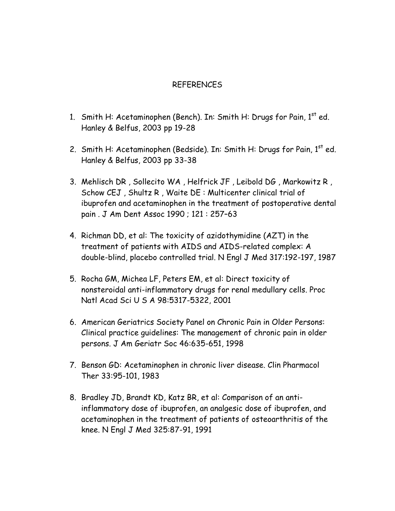#### REFERENCES

- 1. Smith H: Acetaminophen (Bench). In: Smith H: Drugs for Pain,  $1<sup>st</sup>$  ed. Hanley & Belfus, 2003 pp 19-28
- 2. Smith H: Acetaminophen (Bedside). In: Smith H: Drugs for Pain,  $1<sup>st</sup>$  ed. Hanley & Belfus, 2003 pp 33-38
- 3. Mehlisch DR , Sollecito WA , Helfrick JF , Leibold DG , Markowitz R , Schow CEJ , Shultz R , Waite DE : Multicenter clinical trial of ibuprofen and acetaminophen in the treatment of postoperative dental pain . J Am Dent Assoc 1990 ; 121 : 257–63
- 4. Richman DD, et al: The toxicity of azidothymidine (AZT) in the treatment of patients with AIDS and AIDS-related complex: A double-blind, placebo controlled trial. N Engl J Med 317:192-197, 1987
- 5. Rocha GM, Michea LF, Peters EM, et al: Direct toxicity of nonsteroidal anti-inflammatory drugs for renal medullary cells. Proc Natl Acad Sci U S A 98:5317-5322, 2001
- 6. American Geriatrics Society Panel on Chronic Pain in Older Persons: Clinical practice guidelines: The management of chronic pain in older persons. J Am Geriatr Soc 46:635-651, 1998
- 7. Benson GD: Acetaminophen in chronic liver disease. Clin Pharmacol Ther 33:95-101, 1983
- 8. Bradley JD, Brandt KD, Katz BR, et al: Comparison of an antiinflammatory dose of ibuprofen, an analgesic dose of ibuprofen, and acetaminophen in the treatment of patients of osteoarthritis of the knee. N Engl J Med 325:87-91, 1991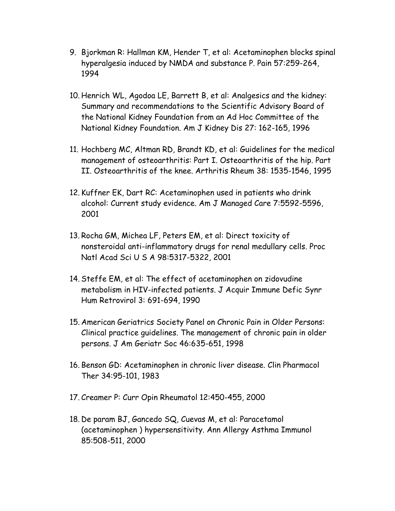- 9. Bjorkman R: Hallman KM, Hender T, et al: Acetaminophen blocks spinal hyperalgesia induced by NMDA and substance P. Pain 57:259-264, 1994
- 10. Henrich WL, Agodoa LE, Barrett B, et al: Analgesics and the kidney: Summary and recommendations to the Scientific Advisory Board of the National Kidney Foundation from an Ad Hoc Committee of the National Kidney Foundation. Am J Kidney Dis 27: 162-165, 1996
- 11. Hochberg MC, Altman RD, Brandt KD, et al: Guidelines for the medical management of osteoarthritis: Part I. Osteoarthritis of the hip. Part II. Osteoarthritis of the knee. Arthritis Rheum 38: 1535-1546, 1995
- 12. Kuffner EK, Dart RC: Acetaminophen used in patients who drink alcohol: Current study evidence. Am J Managed Care 7:5592-5596, 2001
- 13. Rocha GM, Michea LF, Peters EM, et al: Direct toxicity of nonsteroidal anti-inflammatory drugs for renal medullary cells. Proc Natl Acad Sci U S A 98:5317-5322, 2001
- 14. Steffe EM, et al: The effect of acetaminophen on zidovudine metabolism in HIV-infected patients. J Acquir Immune Defic Synr Hum Retrovirol 3: 691-694, 1990
- 15. American Geriatrics Society Panel on Chronic Pain in Older Persons: Clinical practice guidelines. The management of chronic pain in older persons. J Am Geriatr Soc 46:635-651, 1998
- 16. Benson GD: Acetaminophen in chronic liver disease. Clin Pharmacol Ther 34:95-101, 1983
- 17. Creamer P: Curr Opin Rheumatol 12:450-455, 2000
- 18. De param BJ, Gancedo SQ, Cuevas M, et al: Paracetamol (acetaminophen ) hypersensitivity. Ann Allergy Asthma Immunol 85:508-511, 2000